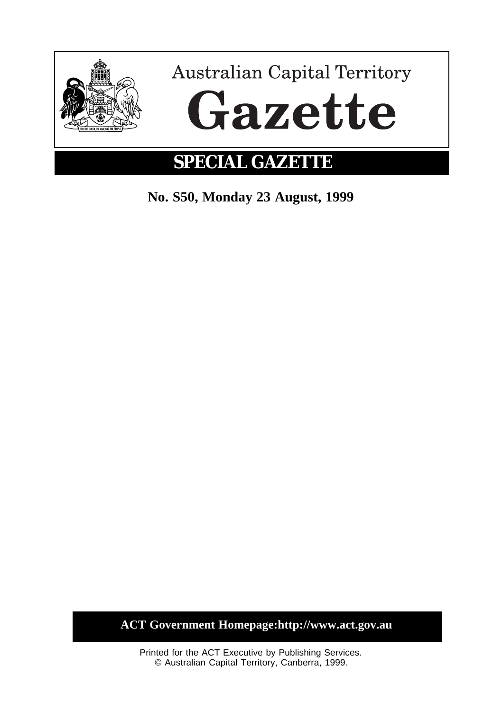

**SPECIAL GAZETTE**

**No. S50, Monday 23 August, 1999**

**ACT Government Homepage:http://www.act.gov.au**

Printed for the ACT Executive by Publishing Services. © Australian Capital Territory, Canberra, 1999.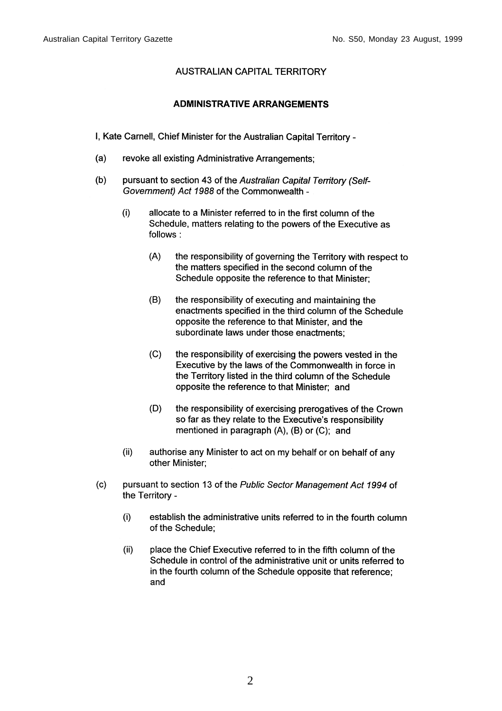## **AUSTRALIAN CAPITAL TERRITORY**

## **ADMINISTRATIVE ARRANGEMENTS**

I, Kate Carnell, Chief Minister for the Australian Capital Territory -

- $(a)$ revoke all existing Administrative Arrangements;
- pursuant to section 43 of the Australian Capital Territory (Self- $(b)$ Government) Act 1988 of the Commonwealth -
	- $(i)$ allocate to a Minister referred to in the first column of the Schedule, matters relating to the powers of the Executive as follows:
		- $(A)$ the responsibility of governing the Territory with respect to the matters specified in the second column of the Schedule opposite the reference to that Minister;
		- $(B)$ the responsibility of executing and maintaining the enactments specified in the third column of the Schedule opposite the reference to that Minister, and the subordinate laws under those enactments;
		- $(C)$ the responsibility of exercising the powers vested in the Executive by the laws of the Commonwealth in force in the Territory listed in the third column of the Schedule opposite the reference to that Minister; and
		- $(D)$ the responsibility of exercising prerogatives of the Crown so far as they relate to the Executive's responsibility mentioned in paragraph (A), (B) or (C); and
	- $(ii)$ authorise any Minister to act on my behalf or on behalf of any other Minister;
- pursuant to section 13 of the Public Sector Management Act 1994 of  $(c)$ the Territory
	- establish the administrative units referred to in the fourth column  $(i)$ of the Schedule;
	- $(ii)$ place the Chief Executive referred to in the fifth column of the Schedule in control of the administrative unit or units referred to in the fourth column of the Schedule opposite that reference; and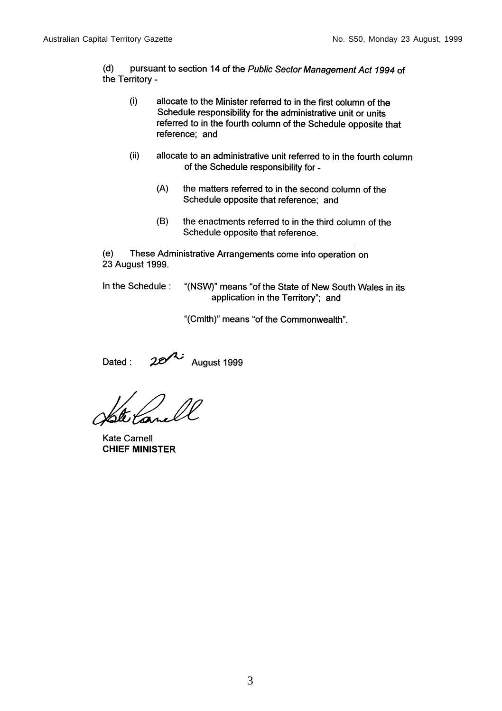$(d)$ pursuant to section 14 of the Public Sector Management Act 1994 of the Territory -

- $(i)$ allocate to the Minister referred to in the first column of the Schedule responsibility for the administrative unit or units referred to in the fourth column of the Schedule opposite that reference; and
- $(ii)$ allocate to an administrative unit referred to in the fourth column of the Schedule responsibility for -
	- $(A)$ the matters referred to in the second column of the Schedule opposite that reference; and
	- $(B)$ the enactments referred to in the third column of the Schedule opposite that reference.

 $(e)$ These Administrative Arrangements come into operation on 23 August 1999.

In the Schedule:

"(NSW)" means "of the State of New South Wales in its application in the Territory"; and

"(Cmlth)" means "of the Commonwealth".

August 1999 Dated:

**Kate Carnell CHIEF MINISTER**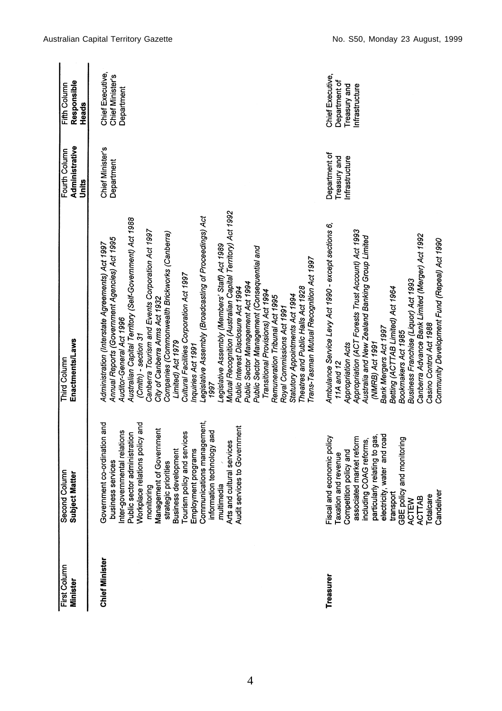| First Column<br><b>Minister</b> | Second Column<br>Subject Matter                                                                                                                                                                                                                                                                                                                      | Enactments/Laws<br>Third Column                                                                                                                                                                                                                                                                                                                                                                                                                                                                                                                                                                                                                                                                                                                                                                                                                                                                                                                                                      | Administrative<br>Fourth Column<br>Units        | Responsible<br>Fifth Column<br>Heads                                |
|---------------------------------|------------------------------------------------------------------------------------------------------------------------------------------------------------------------------------------------------------------------------------------------------------------------------------------------------------------------------------------------------|--------------------------------------------------------------------------------------------------------------------------------------------------------------------------------------------------------------------------------------------------------------------------------------------------------------------------------------------------------------------------------------------------------------------------------------------------------------------------------------------------------------------------------------------------------------------------------------------------------------------------------------------------------------------------------------------------------------------------------------------------------------------------------------------------------------------------------------------------------------------------------------------------------------------------------------------------------------------------------------|-------------------------------------------------|---------------------------------------------------------------------|
| Chief Minister                  | business services<br>Inter-governmental relations<br>Public sector administration<br>Workplace relations policy and<br>Management of Government<br>stategic priorities<br>stategic priorities<br>Tournent Subset of The Management<br>Employment progr<br>Government co-ordination and<br>Arts and cultural services<br>Audit services to Government | Mutual Recognition (Australian Capital Territory) Act 1992<br>Legislative Assembly (Broadcasting of Proceedings) Act<br>Australian Capital Territory (Self-Government) Act 1988<br>Canberra Tourism and Events Corporation Act 1997<br>Companies (Commonwealth Brickworks (Canberra)<br>Annual Reports (Government Agencies) Act 1995<br>Administration (Interstate Agreements) Act 1997<br>Legislative Assembly (Members' Staff) Act 1989<br>Public Sector Management (Consequential and<br>Trans-Tasman Mutual Recognition Act 1997<br>Cultural Facilities Corporation Act 1997<br>Public Sector Management Act 1994<br>Theatres and Public Halls Act 1928<br>Public Interest Disclosure Act 1994<br>Transitional Provisions) Act 1994<br>Statutory Appointments Act 1994<br>Remuneration Tribunal Act 1995<br>City of Canberra Arms Act 1932<br>Royal Commissions Act 1991<br>Auditor-General Act 1996<br>(Cmlth) - section 31<br>Limited) Act 1979<br>Inquiries Act 1991<br>1997 | w<br>Chief Minister'<br>Department              | Chief Executive,<br>Chief Minister's<br>Department                  |
| Treasurer                       | particularly relating to gas,<br>electricity, water and road<br>transport<br>GBE policy and monitoring<br>ACTEW<br>TOtalcare<br>Totalcare<br>Fiscal and economic policy<br>Taxation and revenue<br>Competition policy and<br>associated market reform<br>including COAG reforms,                                                                     | Ambulance Service Levy Act 1990 - except sections 6,<br>Appropriation (ACT Forests Trust Account) Act 1993<br>Canberra Advance Bank Limited (Merger) Act 1992<br>Australia and New Zealand Banking Group Limited<br>Community Development Fund (Repeal) Act 1990<br>Business Franchise (Liquor) Act 1993<br>Betting (ACTTAB Limited) Act 1964<br>Casino Control Act 1988<br>Bank Mergers Act 1997<br>Bookmakers Act 1985<br>Appropriation Acts<br>(NMRB) Act 1991<br>11A and 12                                                                                                                                                                                                                                                                                                                                                                                                                                                                                                      | Department of<br>Treasury and<br>Infrastructure | Chief Executive,<br>Department of<br>Treasury and<br>Infrastructure |

4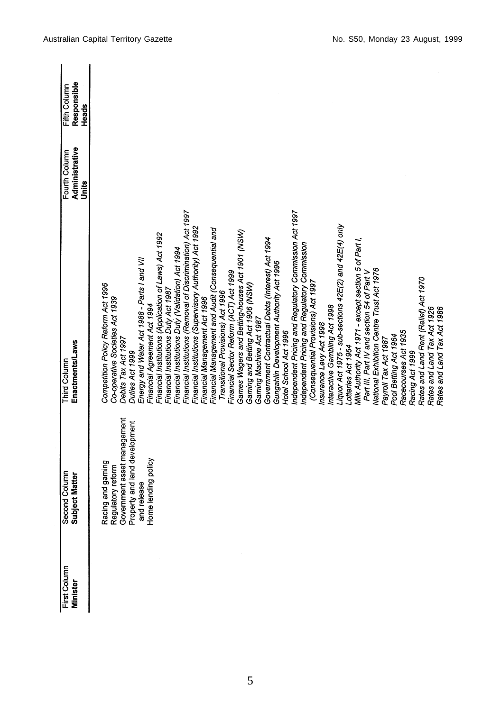| First Column<br><b>Minister</b> | Second Column<br>Subject Matter                                                                  | Enactments/Laws<br>Third Column                                                                                  | Administrative<br>Fourth Column<br>Units | Responsible<br>Fifth Column<br>Heads |
|---------------------------------|--------------------------------------------------------------------------------------------------|------------------------------------------------------------------------------------------------------------------|------------------------------------------|--------------------------------------|
|                                 | Racing and gaming                                                                                | Competition Policy Reform Act 1996<br>Co-operative Societies Act 1939<br>Debits Tax Act 1997                     |                                          |                                      |
|                                 | Regulatory reform<br>Government asset management<br>Property and land development<br>and release | Energy and Water Act 1988 - Parts I and VII<br>Duties Act 1999                                                   |                                          |                                      |
|                                 | e lending policy<br>mg<br>Hom                                                                    | Financial Institutions (Application of Laws) Act 1992<br>Financial Agreement Act 1994                            |                                          |                                      |
|                                 |                                                                                                  | Financial Institutions Duty Act 1987                                                                             |                                          |                                      |
|                                 |                                                                                                  | Financial Institutions (Removal of Discrimination) Act 1997<br>Financial Institutions Duty (Validation) Act 1994 |                                          |                                      |
|                                 |                                                                                                  | Financial Institutions (Supervisory Authority) Act 1992<br>Financial Management Act 1996                         |                                          |                                      |
|                                 |                                                                                                  | Financial Management and Audit (Consequential and                                                                |                                          |                                      |
|                                 |                                                                                                  | Financial Sector Reform (ACT) Act 1999<br>Transitional Provisions) Act 1996                                      |                                          |                                      |
|                                 |                                                                                                  | Games Wagers and Betting-houses Act 1901 (NSW)                                                                   |                                          |                                      |
|                                 |                                                                                                  | Gaming and Betting Act 1906 (NSW)                                                                                |                                          |                                      |
|                                 |                                                                                                  | Gaming Machine Act 1987                                                                                          |                                          |                                      |
|                                 |                                                                                                  | Government Contractual Debts (Interest) Act 1994                                                                 |                                          |                                      |
|                                 |                                                                                                  | Gungahlin Development Authority Act 1996<br>Hotel School Act 1996                                                |                                          |                                      |
|                                 |                                                                                                  | Independent Pricing and Regulatory Commission Act 1997                                                           |                                          |                                      |
|                                 |                                                                                                  | Independent Pricing and Regulatory Commission                                                                    |                                          |                                      |
|                                 |                                                                                                  | (Consequential Provisions) Act 1997<br>Insurance Levy Act 1998                                                   |                                          |                                      |
|                                 |                                                                                                  | Interactive Gambling Act 1998                                                                                    |                                          |                                      |
|                                 |                                                                                                  | Liquor Act 1975 - sub-sections 42E(2) and 42E(4) only                                                            |                                          |                                      |
|                                 |                                                                                                  | Lotteries Act 1964                                                                                               |                                          |                                      |
|                                 |                                                                                                  | Milk Authority Act 1971 - except section 5 of Part I,<br>Part III, Part IV and section 54 of Part V              |                                          |                                      |
|                                 |                                                                                                  | National Exhibition Centre Trust Act 1976                                                                        |                                          |                                      |
|                                 |                                                                                                  | Payroll Tax Act 1987                                                                                             |                                          |                                      |
|                                 |                                                                                                  | Pool Betting Act 1964                                                                                            |                                          |                                      |
|                                 |                                                                                                  | Racecourses Act 1935                                                                                             |                                          |                                      |
|                                 |                                                                                                  | Racing Act 1999                                                                                                  |                                          |                                      |
|                                 |                                                                                                  | Rates and Land Rent (Relief) Act 1970                                                                            |                                          |                                      |
|                                 |                                                                                                  | Rates and Land Tax Act 1926<br>Rates and Land Tax Act 1986                                                       |                                          |                                      |
|                                 |                                                                                                  |                                                                                                                  |                                          |                                      |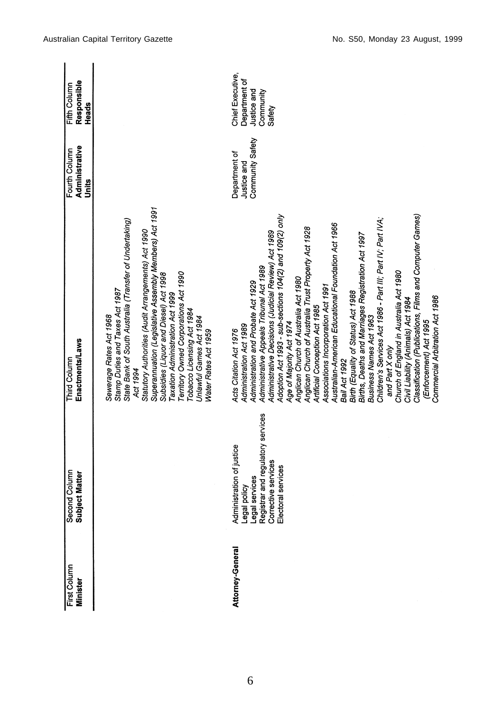| First Column<br><b>Minister</b> | Second Column<br>Subject Matter                                                                                                               | Enactments/Laws<br>Third Column                                                                                                                                                                                                                                                                                                                                                                                                                                                                                                                                                                                                                                                                                                                                                                                                                                                                                                                         | Administrative<br>Fourth Column<br>Units         | Responsible<br>Fifth Column<br>Heads                                    |
|---------------------------------|-----------------------------------------------------------------------------------------------------------------------------------------------|---------------------------------------------------------------------------------------------------------------------------------------------------------------------------------------------------------------------------------------------------------------------------------------------------------------------------------------------------------------------------------------------------------------------------------------------------------------------------------------------------------------------------------------------------------------------------------------------------------------------------------------------------------------------------------------------------------------------------------------------------------------------------------------------------------------------------------------------------------------------------------------------------------------------------------------------------------|--------------------------------------------------|-------------------------------------------------------------------------|
|                                 |                                                                                                                                               | Superannuation (Legislative Assembly Members) Act 1991<br>State Bank of South Australia (Transfer of Undertaking)<br>Statutory Authorities (Audit Arrangements) Act 1990<br>erritory Owned Corporations Act 1990<br>Subsidies (Liquor and Diesel) Act 1998<br>Stamp Duties and Taxes Act 1987<br>Taxation Administration Act 1999<br>Tobacco Licensing Act 1984<br>Sewerage Rates Act 1968<br>Unlawful Games Act 1984<br>Water Rates Act 1959<br>Act 1994                                                                                                                                                                                                                                                                                                                                                                                                                                                                                               |                                                  |                                                                         |
| Attorney-General                | Legal services<br>Registrar and regulatory services<br>Corrective services<br>Administration of justice<br>Electoral services<br>Legal policy | Classification (Publications, Films and Computer Games)<br>Adoption Act 1993 - sub-sections 104(2) and 109(2) only<br>Children's Services Act 1986 - Part III; Part IV; Part IVA;<br>Australian-American Educational Foundation Act 1966<br>Anglican Church of Australia Trust Property Act 1928<br>Administrative Decisions (Judicial Review) Act 1989<br>Births, Deaths and Marriages Registration Act 1997<br>Administrative Appeals Tribunal Act 1989<br>Church of England in Australia Act 1980<br>Anglican Church of Australia Act 1980<br>Administration and Probate Act 1929<br>Associations Incorporation Act 1991<br>Birth (Equality of Status) Act 1988<br>Commercial Arbitration Act 1986<br>Civil Liability (Animals) Act 1984<br>Artificial Conception Act 1985<br>Business Names Act 1963<br>(Enforcement) Act 1995<br>Age of Majority Act 1974<br>Administration Act 1989<br>Acts Citation Act 1976<br>and Part X only<br>Bail Act 1992 | Community Safety<br>Department of<br>Justice and | Chief Executive,<br>Department of<br>Justice and<br>Community<br>Safety |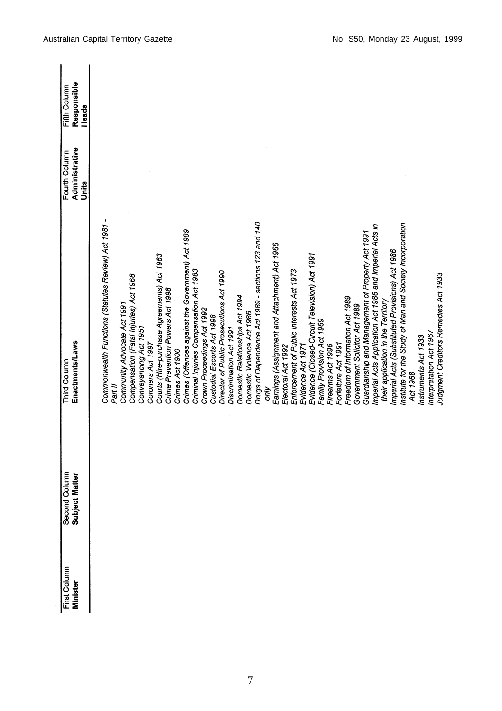| First Column<br><b>Minister</b> | Second Column<br>Subject Matter | Enactments/Laws<br>Third Column                                                                             | Administrative<br>Fourth Column | Responsible<br>Fifth Column |
|---------------------------------|---------------------------------|-------------------------------------------------------------------------------------------------------------|---------------------------------|-----------------------------|
|                                 |                                 |                                                                                                             | Units                           | Heads                       |
|                                 |                                 | Commonwealth Functions (Statutes Review) Act 1981 -<br>Part II                                              |                                 |                             |
|                                 |                                 | Community Advocate Act 1991                                                                                 |                                 |                             |
|                                 |                                 | Compensation (Fatal Injuries) Act 1968                                                                      |                                 |                             |
|                                 |                                 | Conveyancing Act 1951<br>Coroners Act 1997                                                                  |                                 |                             |
|                                 |                                 | Courts (Hire-purchase Agreements) Act 1963                                                                  |                                 |                             |
|                                 |                                 | Crime Prevention Powers Act 1998                                                                            |                                 |                             |
|                                 |                                 | Crimes Act 1900                                                                                             |                                 |                             |
|                                 |                                 | Crimes (Offences against the Government) Act 1989                                                           |                                 |                             |
|                                 |                                 | Criminal Injuries Compensation Act 1983                                                                     |                                 |                             |
|                                 |                                 | Crown Proceedings Act 1992                                                                                  |                                 |                             |
|                                 |                                 | Custodial Escorts Act 1998                                                                                  |                                 |                             |
|                                 |                                 | Director of Public Prosecutions Act 1990                                                                    |                                 |                             |
|                                 |                                 | Discrimination Act 1991                                                                                     |                                 |                             |
|                                 |                                 | Domestic Relationships Act 1994                                                                             |                                 |                             |
|                                 |                                 | Domestic Violence Act 1986                                                                                  |                                 |                             |
|                                 |                                 | Drugs of Dependence Act 1989 - sections 123 and 140                                                         |                                 |                             |
|                                 |                                 | δÑ                                                                                                          |                                 |                             |
|                                 |                                 | Earnings (Assignment and Attachment) Act 1966<br>Electoral Act 1992                                         |                                 |                             |
|                                 |                                 | Enforcement of Public Interests Act 1973                                                                    |                                 |                             |
|                                 |                                 | Evidence Act 1971                                                                                           |                                 |                             |
|                                 |                                 | Evidence (Closed-Circuit Television) Act 1991                                                               |                                 |                             |
|                                 |                                 | Family Provision Act 1969                                                                                   |                                 |                             |
|                                 |                                 | Firearms Act 1996                                                                                           |                                 |                             |
|                                 |                                 | Forfeiture Act 1991                                                                                         |                                 |                             |
|                                 |                                 | Freedom of Information Act 1989                                                                             |                                 |                             |
|                                 |                                 | Government Solicitor Act 1989                                                                               |                                 |                             |
|                                 |                                 | Guardianship and Management of Property Act 1991                                                            |                                 |                             |
|                                 |                                 | Imperial Acts Application Act 1986 and Imperial Acts in                                                     |                                 |                             |
|                                 |                                 | their application in the Territory                                                                          |                                 |                             |
|                                 |                                 | Institute for the Study of Man and Society Incorporation<br>Imperial Acts (Substituted Provisions) Act 1986 |                                 |                             |
|                                 |                                 | Act 1968                                                                                                    |                                 |                             |
|                                 |                                 | Instruments Act 1933                                                                                        |                                 |                             |
|                                 |                                 | Interpretation Act 1967                                                                                     |                                 |                             |
|                                 |                                 | Judgment Creditors Remedies Act 1933                                                                        |                                 |                             |
|                                 |                                 |                                                                                                             |                                 |                             |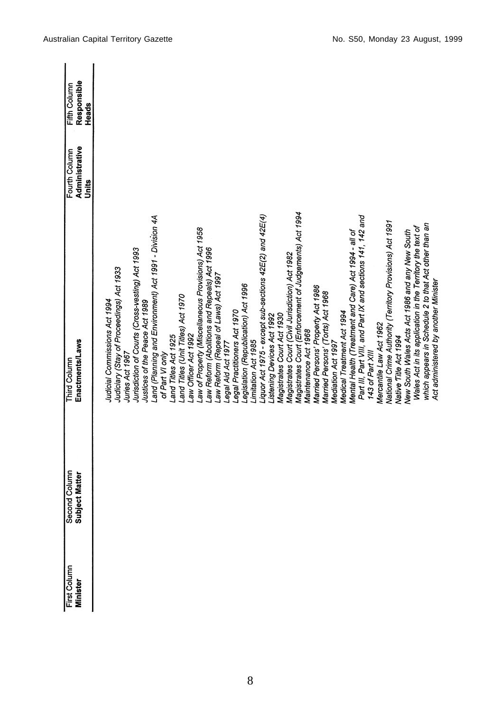| First Column<br>Minister | Second Column<br>Subject Matter | <b>Enactments/Laws</b><br><b>Third Column</b>                                                                | Administrative<br>Fourth Column<br>Units | Responsible<br>Fifth Column<br>Heads |
|--------------------------|---------------------------------|--------------------------------------------------------------------------------------------------------------|------------------------------------------|--------------------------------------|
|                          |                                 | Judicial Commissions Act 1994                                                                                |                                          |                                      |
|                          |                                 | Judiciary (Stay of Proceedings) Act 1933<br>Juries Act 1967                                                  |                                          |                                      |
|                          |                                 | Jurisdiction of Courts (Cross-vesting) Act 1993                                                              |                                          |                                      |
|                          |                                 | and (Planning and Environment) Act 1991 - Division 4A<br>Justices of the Peace Act 1989                      |                                          |                                      |
|                          |                                 | and Titles Act 1925<br>of Part VI only                                                                       |                                          |                                      |
|                          |                                 | Land Titles (Unit Titles) Act 1970<br>aw Officer Act 1992                                                    |                                          |                                      |
|                          |                                 | Law of Property (Miscellaneous Provisions) Act 1958                                                          |                                          |                                      |
|                          |                                 | aw Reform (Abolitions and Repeals) Act 1996                                                                  |                                          |                                      |
|                          |                                 | Law Reform (Repeal of Laws) Act 1997<br>egal Aid Act 1977                                                    |                                          |                                      |
|                          |                                 | Legal Practitioners Act 1970                                                                                 |                                          |                                      |
|                          |                                 | Legislation (Republication) Act 1996<br>Limitation Act 1985                                                  |                                          |                                      |
|                          |                                 | Liquor Act 1975 - except sub-sections 42E(2) and 42E(4)                                                      |                                          |                                      |
|                          |                                 | Listening Devices Act 1992                                                                                   |                                          |                                      |
|                          |                                 | Magistrates Court Act 1930                                                                                   |                                          |                                      |
|                          |                                 | Magistrates Court (Civil Jurisdiction) Act 1982                                                              |                                          |                                      |
|                          |                                 | Magistrates Court (Enforcement of Judgements) Act 1994<br>Maintenance Act 1968                               |                                          |                                      |
|                          |                                 | Married Persons' Property Act 1986                                                                           |                                          |                                      |
|                          |                                 | Married Persons' (Torts) Act 1968                                                                            |                                          |                                      |
|                          |                                 | Mediation Act 1997                                                                                           |                                          |                                      |
|                          |                                 | Medical Treatment Act 1994                                                                                   |                                          |                                      |
|                          |                                 | Mental Health (Treatment and Care) Act 1994 - all of                                                         |                                          |                                      |
|                          |                                 | Part III, Part VIII, and Part IX and sections 141, 142 and<br>143 of Part XIII                               |                                          |                                      |
|                          |                                 | Mercantile Law Act 1962                                                                                      |                                          |                                      |
|                          |                                 | National Crime Authority (Territory Provisions) Act 1991                                                     |                                          |                                      |
|                          |                                 | Native Title Act 1994                                                                                        |                                          |                                      |
|                          |                                 | Wales Act in its application in the Territory the text of<br>New South Wales Acts Act 1986 and any New South |                                          |                                      |
|                          |                                 | which appears in Schedule 2 to that Act other than an<br>Act administered by another Minister                |                                          |                                      |
|                          |                                 |                                                                                                              |                                          |                                      |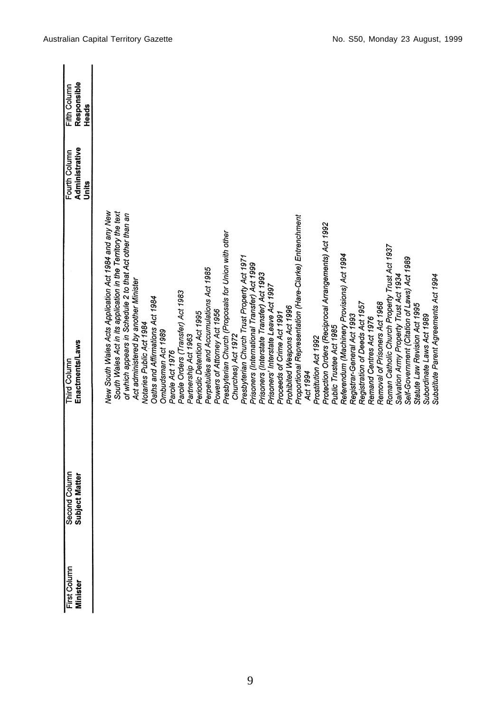| First Column<br>Minister | Second Column<br>Subject Matter | Third Column                                                 | Fourth Column           | Fifth Column         |
|--------------------------|---------------------------------|--------------------------------------------------------------|-------------------------|----------------------|
|                          |                                 | Enactments/Laws                                              | Administrative<br>Units | Responsible<br>Heads |
|                          |                                 |                                                              |                         |                      |
|                          |                                 | New South Wales Acts Application Act 1984 and any New        |                         |                      |
|                          |                                 | South Wales Act in its application in the Territory the text |                         |                      |
|                          |                                 | of which appears in Schedule 2 to that Act other than an     |                         |                      |
|                          |                                 | Act administered by another Minister                         |                         |                      |
|                          |                                 | Notaries Public Act 1984                                     |                         |                      |
|                          |                                 | Oaths and Affirmations Act 1984                              |                         |                      |
|                          |                                 | Ombudsman Act 1989                                           |                         |                      |
|                          |                                 | Parole Act 1976                                              |                         |                      |
|                          |                                 | Parole Orders (Transfer) Act 1983                            |                         |                      |
|                          |                                 | Partnership Act 1963                                         |                         |                      |
|                          |                                 | Periodic Detention Act 1995                                  |                         |                      |
|                          |                                 | Perpetuities and Accumulations Act 1985                      |                         |                      |
|                          |                                 | Powers of Attorney Act 1956                                  |                         |                      |
|                          |                                 | Presbyterian Church (Proposals for Union with other          |                         |                      |
|                          |                                 | Churches) Act 1972                                           |                         |                      |
|                          |                                 | Presbyterian Church Trust Property Act 1971                  |                         |                      |
|                          |                                 | Prisoners (International Transfer) Act 1999                  |                         |                      |
|                          |                                 | Prisoners (Interstate Transfer) Act 1993                     |                         |                      |
|                          |                                 | Prisoners' Interstate Leave Act 1997                         |                         |                      |
|                          |                                 | Proceeds of Crime Act 1991                                   |                         |                      |
|                          |                                 | Prohibited Weapons Act 1996                                  |                         |                      |
|                          |                                 | Proportional Representation (Hare-Clarke) Entrenchment       |                         |                      |
|                          |                                 | Act 1994                                                     |                         |                      |
|                          |                                 | Prostitution Act 1992                                        |                         |                      |
|                          |                                 | Protection Orders (Reciprocal Arrangements) Act 1992         |                         |                      |
|                          |                                 | Public Trustee Act 1985                                      |                         |                      |
|                          |                                 | Referendum (Machinery Provisions) Act 1994                   |                         |                      |
|                          |                                 | Registrar-General Act 1993                                   |                         |                      |
|                          |                                 | Registration of Deeds Act 1957                               |                         |                      |
|                          |                                 | Remand Centres Act 1976                                      |                         |                      |
|                          |                                 | Removal of Prisoners Act 1968                                |                         |                      |
|                          |                                 | Roman Catholic Church Property Trust Act 1937                |                         |                      |
|                          |                                 | Salvation Army Property Trust Act 1934                       |                         |                      |
|                          |                                 | Self-Government (Citation of Laws) Act 1989                  |                         |                      |
|                          |                                 | Statute Law Revision Act 1995                                |                         |                      |
|                          |                                 | Subordinate Laws Act 1989                                    |                         |                      |
|                          |                                 | Substitute Parent Agreements Act 1994                        |                         |                      |
|                          |                                 |                                                              |                         |                      |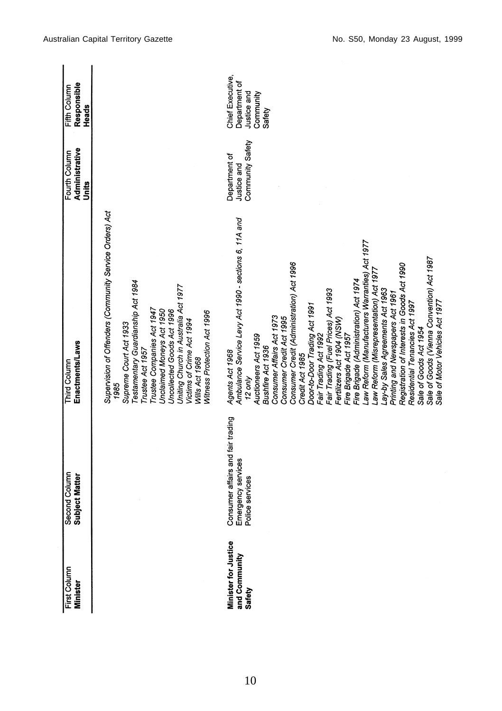| First Column<br><b>Minister</b>                 | Second Column<br>Subject Matter                                            | Enactments/Laws<br>Third Column                                                                                                                                                                                                                                                                                                                                                                                                                                                                                                                                                                                                                                                                                                                                                                                                | Administrative<br>Fourth Column<br>Units         | Responsible<br>Fifth Column<br>Heads                                    |
|-------------------------------------------------|----------------------------------------------------------------------------|--------------------------------------------------------------------------------------------------------------------------------------------------------------------------------------------------------------------------------------------------------------------------------------------------------------------------------------------------------------------------------------------------------------------------------------------------------------------------------------------------------------------------------------------------------------------------------------------------------------------------------------------------------------------------------------------------------------------------------------------------------------------------------------------------------------------------------|--------------------------------------------------|-------------------------------------------------------------------------|
|                                                 |                                                                            | Supervision of Offenders (Community Service Orders) Act<br>Testamentary Guardianship Act 1984<br>Uniting Church in Australia Act 1977<br>Trustee Companies Act 1947<br>Unclaimed Moneys Act 1950<br>Uncollected Goods Act 1996<br>Witness Protection Act 1996<br>Victims of Crime Act 1994<br>Supreme Court Act 1933<br>Trustee Act 1957<br>Wills Act 1968<br>1985                                                                                                                                                                                                                                                                                                                                                                                                                                                             |                                                  |                                                                         |
| Minister for Justice<br>and Community<br>Safety | Consumer affairs and fair trading<br>Emergency services<br>Police services | Ambulance Service Levy Act 1990 - sections 6, 11A and<br>aw Reform (Manufacturers Warranties) Act 1977.<br>Sale of Goods (Vienna Convention) Act 1987<br>Consumer Credit (Administration) Act 1996<br>Registration of Interests in Goods Act 1990<br>aw Reform (Misrepresentation) Act 1977.<br>Fire Brigade (Administration) Act 1974<br>Lay-by Sales Agreements Act 1963<br>Fair Trading (Fuel Prices) Act 1993<br>Printing and Newspapers Act 1961<br>Residential Tenancies Act 1997<br>Sale of Motor Vehicles Act 1977<br>Door-to-Door Trading Act 1991<br>Consumer Affairs Act 1973<br>Consumer Credit Act 1995<br>Fertilizers Act 1904 (NSW)<br>Sale of Goods Act 1954<br>Fire Brigade Act 1957<br>Fair Trading Act 1992<br>Auctioneers Act 1959<br>Bushfire Act 1936<br>Agents Act 1968<br>Credit Act 1985<br>$12$ only | Community Safety<br>Department of<br>Justice and | Chief Executive,<br>Department of<br>Justice and<br>Community<br>Safety |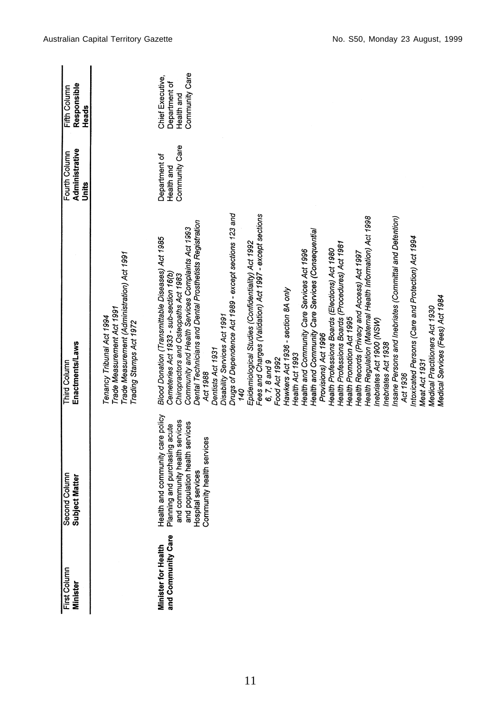| First Column<br>Minister                         | Second Column<br>Subject Matter                                                                                                                                                        | Enactments/Laws<br>Third Column                                                                                                                                                                                                                                                                                                                                                                                                                                                                                                                                                                                                                                                                                                                                                                                                                                                                                                                                                                                                                                                                                                                                                                                                                       | Administrative<br>Fourth Column<br>Units      | Responsible<br>Fifth Column<br>Heads                              |
|--------------------------------------------------|----------------------------------------------------------------------------------------------------------------------------------------------------------------------------------------|-------------------------------------------------------------------------------------------------------------------------------------------------------------------------------------------------------------------------------------------------------------------------------------------------------------------------------------------------------------------------------------------------------------------------------------------------------------------------------------------------------------------------------------------------------------------------------------------------------------------------------------------------------------------------------------------------------------------------------------------------------------------------------------------------------------------------------------------------------------------------------------------------------------------------------------------------------------------------------------------------------------------------------------------------------------------------------------------------------------------------------------------------------------------------------------------------------------------------------------------------------|-----------------------------------------------|-------------------------------------------------------------------|
|                                                  |                                                                                                                                                                                        | Trade Measurement (Administration) Act 1991<br>Trade Measurement Act 1991<br>Tenancy Tribunal Act 1994<br>Trading Stamps Act 1972                                                                                                                                                                                                                                                                                                                                                                                                                                                                                                                                                                                                                                                                                                                                                                                                                                                                                                                                                                                                                                                                                                                     |                                               |                                                                   |
| and Community Care<br><b>Minister for Health</b> | Health and community care policy<br>and community health services<br>and population health services<br>Planning and purchasing acute<br>Community health services<br>Hospital services | Drugs of Dependence Act 1989 - except sections 123 and<br>Fees and Charges (Validation) Act 1997 - except sections<br>Health Regulation (Maternal Health Information) Act 1998<br>Insane Persons and Inebriates (Committal and Detention)<br>Dental Technicians and Dental Prosthetists Registration<br>Community and Health Services Complaints Act 1993<br>Health and Community Care Services (Consequential<br>Intoxicated Persons (Care and Protection) Act 1994<br>Blood Donation (Transmittable Diseases) Act 1985<br>Epidemiological Studies (Confidentiality) Act 1992<br>Health Professions Boards (Procedures) Act 1981<br>Health Professions Boards (Elections) Act 1980<br>Health and Community Care Services Act 1996<br>Health Records (Privacy and Access) Act 1997<br>Cemeteries Act 1933 - sub-section 16(b)<br>Chiropractors and Osteopaths Act 1983<br>Hawkers Act 1936 - section 8A only<br>Medical Services (Fees) Act 1984<br>Medical Practitioners Act 1930<br>Disability Services Act 1991<br>Health Promotion Act 1995<br>Inebriates Act 1900 (NSW)<br>Provisions) Act 1996<br>Inebriates Act 1938<br>Dentists Act 1931<br>Health Act 1993<br>Food Act 1992<br>Meat Act 1931<br>6, 7, 8 and 9<br>Act 1988<br>Act 1936<br>940 | Community Care<br>Department of<br>Health and | Community Care<br>Chief Executive,<br>Department of<br>Health and |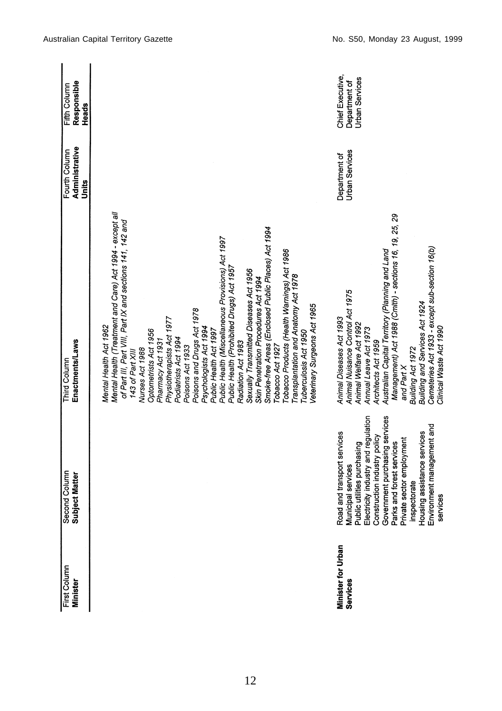| First Column<br>Minister       | Second Column<br>Subject Matter                                                                                                                                                                                                                                                                                                              | Enactments/Laws<br><b>Third Column</b>                                                                                                                                                                                                                                                                                                                                                                                                                                                                                                                                                                                                                                                                                                                                                                                              | Administrative<br>Fourth Column<br>Units | Responsible<br>Fifth Column<br>Heads                       |
|--------------------------------|----------------------------------------------------------------------------------------------------------------------------------------------------------------------------------------------------------------------------------------------------------------------------------------------------------------------------------------------|-------------------------------------------------------------------------------------------------------------------------------------------------------------------------------------------------------------------------------------------------------------------------------------------------------------------------------------------------------------------------------------------------------------------------------------------------------------------------------------------------------------------------------------------------------------------------------------------------------------------------------------------------------------------------------------------------------------------------------------------------------------------------------------------------------------------------------------|------------------------------------------|------------------------------------------------------------|
|                                |                                                                                                                                                                                                                                                                                                                                              | Mental Health (Treatment and Care) Act 1994 - except all<br>of Part III, Part VIII, Part IX and sections 141, 142 and<br>Smoke-free Areas (Enclosed Public Places) Act 1994<br>Public Health (Miscellaneous Provisions) Act 1997<br>Tobacco Products (Health Warnings) Act 1986<br>Public Health (Prohibited Drugs) Act 1957<br>Sexually Transmitted Diseases Act 1956<br>Transplantation and Anatomy Act 1978<br>Skin Penetration Procedures Act 1994<br>Veterinary Surgeons Act 1965<br>Poisons and Drugs Act 1978<br>Physiotherapists Act 1977<br>Mental Health Act 1962<br>Psychologists Act 1994<br>Optometrists Act 1956<br>Public Health Act 1997<br>Tuberculosis Act 1950<br>Podiatrists Act 1994<br>Pharmacy Act 1931<br>Radiation Act 1983<br>Tobacco Act 1927<br>Poisons Act 1933<br>Nurses Act 1988<br>143 of Part XIII |                                          |                                                            |
| Minister for Urban<br>Services | Government purchasing services<br>Municipal services<br>Public utilities purchasing<br>Electricity industry and regulation<br>Environment management and<br>Housing assistance services<br>Road and transport services<br>Construction industry policy<br>Parks and forest services<br>Private sector employment<br>inspectorate<br>services | Management) Act 1988 (Cmlth) - sections 16, 19, 25, 29<br>Cemeteries Act 1933 - except sub-section 16(b)<br>Australian Capital Territory (Planning and Land<br>Animal Nuisance Control Act 1975<br>Building and Services Act 1924<br>Animal Diseases Act 1993<br>Animal Welfare Act 1992<br>Clinical Waste Act 1990<br>Annual Leave Act 1973<br>Architects Act 1959<br>Building Act 1972<br>and Part X                                                                                                                                                                                                                                                                                                                                                                                                                              | <b>Urban Services</b><br>Department of   | Chief Executive,<br><b>Urban Services</b><br>Department of |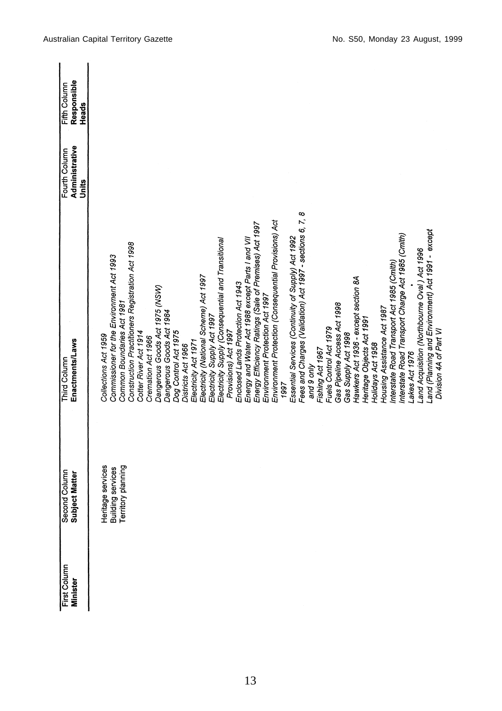| First Column    |                                                              | <b>Third Column</b>                                                               | Fourth Column           | Fifth Column         |
|-----------------|--------------------------------------------------------------|-----------------------------------------------------------------------------------|-------------------------|----------------------|
| <b>Minister</b> | Second Column<br>Subject Matter                              | Enactments/Laws                                                                   | Administrative<br>Units | Responsible<br>Heads |
|                 |                                                              |                                                                                   |                         |                      |
|                 |                                                              | Collections Act 1959                                                              |                         |                      |
|                 | Heritage services<br>Building services<br>Territory planning | Commissioner for the Environment Act 1993                                         |                         |                      |
|                 |                                                              | Construction Practitioners Registration Act 1998<br>Common Boundaries Act 1981    |                         |                      |
|                 |                                                              | Cotter River Act 1914                                                             |                         |                      |
|                 |                                                              | Cremation Act 1966                                                                |                         |                      |
|                 |                                                              | Dangerous Goods Act 1975 (NSW)                                                    |                         |                      |
|                 |                                                              | Dangerous Goods Act 1984                                                          |                         |                      |
|                 |                                                              | Dog Control Act 1975                                                              |                         |                      |
|                 |                                                              | Districts Act 1966                                                                |                         |                      |
|                 |                                                              | Electricity Act 1971                                                              |                         |                      |
|                 |                                                              | Electricity (National Scheme) Act 1997                                            |                         |                      |
|                 |                                                              | Electricity Supply Act 1997                                                       |                         |                      |
|                 |                                                              | Electricity Supply (Consequential and Transitional                                |                         |                      |
|                 |                                                              | Provisions) Act 1997                                                              |                         |                      |
|                 |                                                              | Enclosed Lands Protection Act 1943                                                |                         |                      |
|                 |                                                              | Energy and Water Act 1988 except Parts I and VII                                  |                         |                      |
|                 |                                                              | Energy Efficiency Ratings (Sale of Premises) Act 1997                             |                         |                      |
|                 |                                                              | Environment Protection Act 1997                                                   |                         |                      |
|                 |                                                              | Environment Protection (Consequential Provisions) Act                             |                         |                      |
|                 |                                                              | 1997                                                                              |                         |                      |
|                 |                                                              | Essential Services (Continuity of Supply) Act 1992                                |                         |                      |
|                 |                                                              | $\infty$<br>$\ddot{\sim}$<br>Fees and Charges (Validation) Act 1997 - sections 6, |                         |                      |
|                 |                                                              | and 9 only                                                                        |                         |                      |
|                 |                                                              | Fishing Act 1967                                                                  |                         |                      |
|                 |                                                              | Fuels Control Act 1979                                                            |                         |                      |
|                 |                                                              | Gas Pipeline Access Act 1998                                                      |                         |                      |
|                 |                                                              | Gas Supply Act 1998                                                               |                         |                      |
|                 |                                                              | Hawkers Act 1936 - except section 8A                                              |                         |                      |
|                 |                                                              | Heritage Objects Act 1991                                                         |                         |                      |
|                 |                                                              | Holidays Act 1958                                                                 |                         |                      |
|                 |                                                              | Housing Assistance Act 1987                                                       |                         |                      |
|                 |                                                              | Interstate Road Transport Act 1985 (Cmlth)                                        |                         |                      |
|                 |                                                              | Interstate Road Transport Charge Act 1985 (Cmlth)                                 |                         |                      |
|                 |                                                              | akes Act 1976                                                                     |                         |                      |
|                 |                                                              | Land Acquisition (Northbourne Oval) Act 1996                                      |                         |                      |
|                 |                                                              | Land (Planning and Environment) Act 1991 - except<br>Division 4A of Part VI       |                         |                      |
|                 |                                                              |                                                                                   |                         |                      |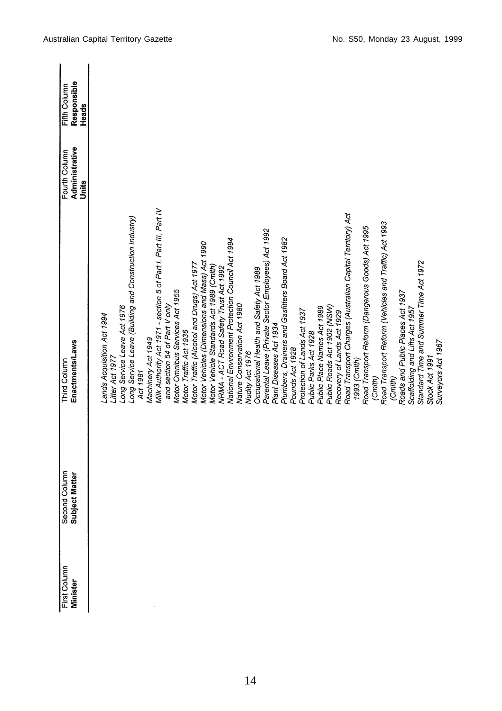| First Column    | Second Column<br>Subject Matter | <b>Third Column</b>                                                                    | Fourth Column           | Fifth Column         |
|-----------------|---------------------------------|----------------------------------------------------------------------------------------|-------------------------|----------------------|
| <b>Minister</b> |                                 | Enactments/Laws                                                                        | Administrative<br>Units | Responsible<br>Heads |
|                 |                                 |                                                                                        |                         |                      |
|                 |                                 | ands Acquisition Act 1994                                                              |                         |                      |
|                 |                                 | Litter Act 1977                                                                        |                         |                      |
|                 |                                 | Long Service Leave (Building and Construction Industry)<br>Long Service Leave Act 1976 |                         |                      |
|                 |                                 | Act 1981                                                                               |                         |                      |
|                 |                                 | Machinery Act 1949                                                                     |                         |                      |
|                 |                                 | Milk Authority Act 1971 - section 5 of Part I, Part III, Part IV                       |                         |                      |
|                 |                                 | and section 54 of Part V only                                                          |                         |                      |
|                 |                                 | Motor Omnibus Services Act 1955                                                        |                         |                      |
|                 |                                 | Motor Traffic Act 1936                                                                 |                         |                      |
|                 |                                 | Motor Traffic (Alcohol and Drugs) Act 1977                                             |                         |                      |
|                 |                                 | Motor Vehicles (Dimensions and Mass) Act 1990                                          |                         |                      |
|                 |                                 | Motor Vehicle Standards Act 1989 (Cmlth)                                               |                         |                      |
|                 |                                 | VRMA - ACT Road Safety Trust Act 1992                                                  |                         |                      |
|                 |                                 | National Environment Protection Council Act 1994                                       |                         |                      |
|                 |                                 | Nature Conservation Act 1980                                                           |                         |                      |
|                 |                                 | Nudity Act 1976                                                                        |                         |                      |
|                 |                                 | Occupational Health and Safety Act 1989                                                |                         |                      |
|                 |                                 | Parental Leave (Private Sector Employees) Act 1992                                     |                         |                      |
|                 |                                 | Plant Diseases Act 1934                                                                |                         |                      |
|                 |                                 | Plumbers, Drainers and Gasfitters Board Act 1982                                       |                         |                      |
|                 |                                 | Pounds Act 1928                                                                        |                         |                      |
|                 |                                 | Protection of Lands Act 1937                                                           |                         |                      |
|                 |                                 | Public Parks Act 1928                                                                  |                         |                      |
|                 |                                 | Public Place Names Act 1989                                                            |                         |                      |
|                 |                                 | Public Roads Act 1902 (NSW)                                                            |                         |                      |
|                 |                                 | Recovery of Lands Act 1929                                                             |                         |                      |
|                 |                                 | Road Transport Charges (Australian Capital Territory) Act                              |                         |                      |
|                 |                                 | 1993 (Cmlth)                                                                           |                         |                      |
|                 |                                 | Road Transport Reform (Dangerous Goods) Act 1995                                       |                         |                      |
|                 |                                 | (Cmth)                                                                                 |                         |                      |
|                 |                                 | Road Transport Reform (Vehicles and Traffic) Act 1993                                  |                         |                      |
|                 |                                 | (Cmlth)                                                                                |                         |                      |
|                 |                                 | Roads and Public Places Act 1937                                                       |                         |                      |
|                 |                                 | Scaffolding and Lifts Act 1957                                                         |                         |                      |
|                 |                                 | Standard Time and Summer Time Act 1972                                                 |                         |                      |
|                 |                                 | Stock Act 1991                                                                         |                         |                      |
|                 |                                 | Surveyors Act 1967                                                                     |                         |                      |
|                 |                                 |                                                                                        |                         |                      |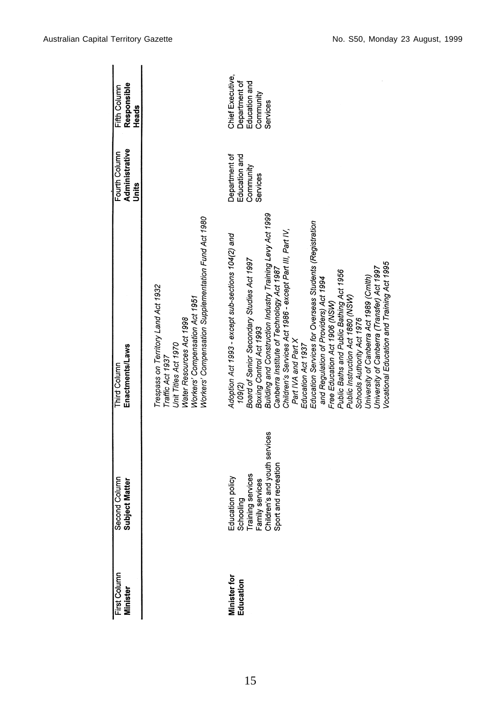| First Column<br>Minister         | Second Column<br>Subject Matter                                                                                                | Enactments/Laws<br>Third Column                                                                                                                                                                                                                                                                                                                                                                                                                                                                                                                                                                                                                                                                                                                    | Administrative<br>Fourth Column                         | Responsible<br>Fifth Column                                                 |
|----------------------------------|--------------------------------------------------------------------------------------------------------------------------------|----------------------------------------------------------------------------------------------------------------------------------------------------------------------------------------------------------------------------------------------------------------------------------------------------------------------------------------------------------------------------------------------------------------------------------------------------------------------------------------------------------------------------------------------------------------------------------------------------------------------------------------------------------------------------------------------------------------------------------------------------|---------------------------------------------------------|-----------------------------------------------------------------------------|
|                                  |                                                                                                                                |                                                                                                                                                                                                                                                                                                                                                                                                                                                                                                                                                                                                                                                                                                                                                    | Units                                                   | Heads                                                                       |
|                                  |                                                                                                                                | Trespass on Territory Land Act 1932<br>Workers' Compensation Act 1951<br>Water Resources Act 1998<br>Unit Titles Act 1970<br>Traffic Act 1937                                                                                                                                                                                                                                                                                                                                                                                                                                                                                                                                                                                                      |                                                         |                                                                             |
|                                  |                                                                                                                                | Workers' Compensation Supplementation Fund Act 1980                                                                                                                                                                                                                                                                                                                                                                                                                                                                                                                                                                                                                                                                                                |                                                         |                                                                             |
| <b>Minister for</b><br>Education | Education policy<br>Schooling<br>Training services<br>Family services<br>Children's and youth services<br>Sport and recreation | Building and Construction Industry Training Levy Act 1999<br>Education Services for Overseas Students (Registration<br>Children's Services Act 1986 - except Part III, Part IV,<br>Adoption Act 1993 - except sub-sections 104(2) and<br>Board of Senior Secondary Studies Act 1997<br>Vocational Education and Training Act 1995<br>University of Canberra (Transfer) Act 1997<br>Canberra Institute of Technology Act 1987<br>Public Baths and Public Bathing Act 1956<br>University of Canberra Act 1989 (Cmlth)<br>and Regulation of Providers) Act 1994<br>Public Instruction Act 1880 (NSW)<br>Free Education Act 1906 (NSW)<br>Schools Authority Act 1976<br>Boxing Control Act 1993<br>Part IVA and Part X<br>Education Act 1937<br>109(2) | Department of<br>Education and<br>Community<br>Services | Chief Executive,<br>Department of<br>Education and<br>Community<br>Services |